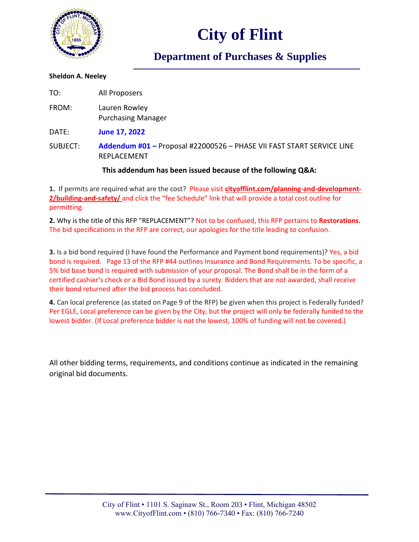

## **City of Flint**

### **Department of Purchases & Supplies**

#### **Sheldon A. Neeley**

TO: All Proposers FROM: Lauren Rowley Purchasing Manager DATE: **June 17, 2022** SUBJECT: **Addendum #01 –** Proposal #22000526 – PHASE VII FAST START SERVICE LINE REPLACEMENT

### **This addendum has been issued because of the following Q&A:**

**1.** If permits are required what are the cost? Please visit **cityofflint.com/planning-and-development-2/building-and-safety/** and click the "fee Schedule" link that will provide a total cost outline for permitting.

**2.** Why is the title of this RFP "REPLACEMENT"? Not to be confused, this RFP pertains to **Restorations.** The bid specifications in the RFP are correct, our apologies for the title leading to confusion.

**3.** Is a bid bond required (I have found the Performance and Payment bond requirements)? Yes, a bid bond is required. Page 13 of the RFP #44 outlines Insurance and Bond Requirements. To be specific, a 5% bid base bond is required with submission of your proposal. The Bond shall be in the form of a certified cashier's check or a Bid Bond issued by a surety. Bidders that are not awarded, shall receive their bond returned after the bid process has concluded.

**4.** Can local preference (as stated on Page 9 of the RFP) be given when this project is Federally funded? Per EGLE, Local preference can be given by the City, but the project will only be federally funded to the lowest bidder. (If Local preference bidder is not the lowest, 100% of funding will not be covered.)

All other bidding terms, requirements, and conditions continue as indicated in the remaining original bid documents.